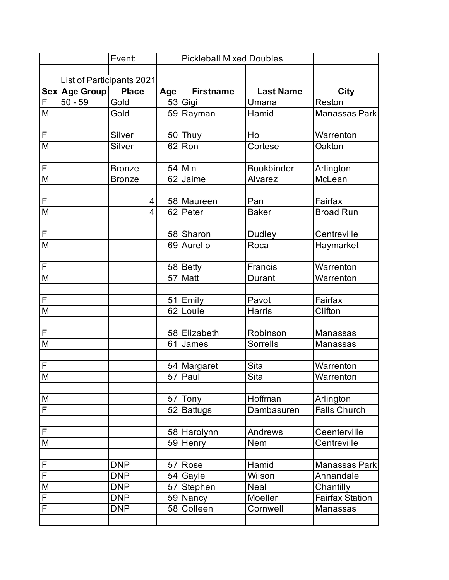|                         |                           | Event:        |     | <b>Pickleball Mixed Doubles</b> |                   |                        |
|-------------------------|---------------------------|---------------|-----|---------------------------------|-------------------|------------------------|
|                         |                           |               |     |                                 |                   |                        |
|                         | List of Participants 2021 |               |     |                                 |                   |                        |
|                         | Sex Age Group             | <b>Place</b>  | Age | <b>Firstname</b>                | <b>Last Name</b>  | <b>City</b>            |
| F                       | $50 - 59$                 | Gold          |     | $\overline{53}$ Gigi            | Umana             | Reston                 |
| $\overline{\mathsf{M}}$ |                           | Gold          |     | 59 Rayman                       | Hamid             | <b>Manassas Park</b>   |
|                         |                           |               |     |                                 |                   |                        |
| F                       |                           | Silver        |     | 50 Thuy                         | Ho                | Warrenton              |
| M                       |                           | Silver        |     | 62 Ron                          | Cortese           | Oakton                 |
|                         |                           |               |     |                                 |                   |                        |
| $\mathsf{F}$            |                           | <b>Bronze</b> |     | 54 Min                          | <b>Bookbinder</b> | Arlington              |
| $\overline{\mathsf{M}}$ |                           | <b>Bronze</b> |     | $\overline{62}$ Jaime           | Alvarez           | McLean                 |
|                         |                           |               |     |                                 |                   |                        |
| F                       |                           | 4             |     | 58 Maureen                      | Pan               | Fairfax                |
| $\overline{\mathsf{M}}$ |                           | 4             |     | 62 Peter                        | <b>Baker</b>      | <b>Broad Run</b>       |
|                         |                           |               |     |                                 |                   |                        |
| F                       |                           |               |     | 58 Sharon                       | Dudley            | Centreville            |
| $\overline{\mathsf{M}}$ |                           |               |     | 69 Aurelio                      | Roca              | Haymarket              |
|                         |                           |               |     |                                 |                   |                        |
| F                       |                           |               |     | 58 Betty                        | Francis           | Warrenton              |
| $\overline{\mathsf{M}}$ |                           |               |     | 57 Matt                         | Durant            | Warrenton              |
|                         |                           |               |     |                                 |                   |                        |
| F                       |                           |               |     | 51 Emily                        | Pavot             | Fairfax                |
| M                       |                           |               |     | 62 Louie                        | <b>Harris</b>     | Clifton                |
|                         |                           |               |     |                                 |                   |                        |
| F                       |                           |               |     | 58 Elizabeth                    | Robinson          | Manassas               |
| $\overline{\mathsf{M}}$ |                           |               |     | 61 James                        | <b>Sorrells</b>   | Manassas               |
|                         |                           |               |     |                                 |                   |                        |
| F                       |                           |               |     | 54 Margaret                     | <b>Sita</b>       | Warrenton              |
| $\overline{M}$          |                           |               |     | 57 Paul                         | <b>Sita</b>       | Warrenton              |
|                         |                           |               |     |                                 | Hoffman           |                        |
| ${\sf M}$<br>F          |                           |               |     | 57 Tony                         | Dambasuren        | Arlington              |
|                         |                           |               |     | 52 Battugs                      |                   | <b>Falls Church</b>    |
| F                       |                           |               |     | 58 Harolynn                     | Andrews           | Ceenterville           |
| M                       |                           |               |     | 59 Henry                        | Nem               | Centreville            |
|                         |                           |               |     |                                 |                   |                        |
| F                       |                           | <b>DNP</b>    |     | 57 Rose                         | Hamid             | Manassas Park          |
| F                       |                           | <b>DNP</b>    |     | 54 Gayle                        | Wilson            | Annandale              |
| M                       |                           | <b>DNP</b>    |     | 57 Stephen                      | Neal              | Chantilly              |
| F                       |                           | <b>DNP</b>    |     | 59 Nancy                        | Moeller           | <b>Fairfax Station</b> |
| F                       |                           | <b>DNP</b>    |     | 58 Colleen                      | Cornwell          | Manassas               |
|                         |                           |               |     |                                 |                   |                        |
|                         |                           |               |     |                                 |                   |                        |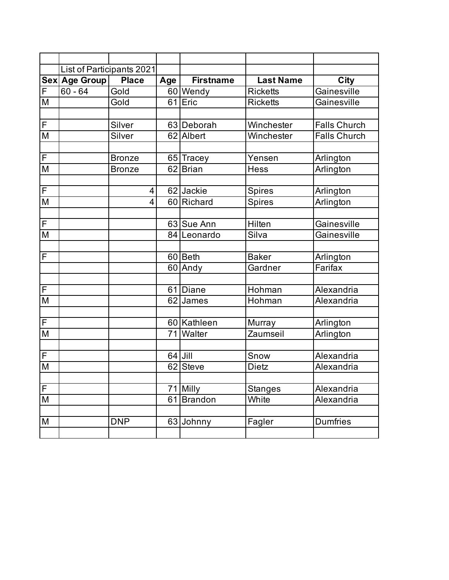|                         | List of Participants 2021 |                |     |                       |                      |                     |
|-------------------------|---------------------------|----------------|-----|-----------------------|----------------------|---------------------|
|                         | Sex Age Group             | <b>Place</b>   | Age | <b>Firstname</b>      | <b>Last Name</b>     | City                |
| F                       | $60 - 64$                 | Gold           |     | $\overline{60}$ Wendy | <b>Ricketts</b>      | Gainesville         |
| M                       |                           | Gold           |     | 61 Eric               | <b>Ricketts</b>      | Gainesville         |
|                         |                           |                |     |                       |                      |                     |
| F                       |                           | Silver         |     | 63 Deborah            | Winchester           | <b>Falls Church</b> |
| M                       |                           | Silver         |     | 62 Albert             | Winchester           | <b>Falls Church</b> |
|                         |                           |                |     |                       |                      |                     |
| $\overline{F}$          |                           | <b>Bronze</b>  |     | 65 Tracey             | Yensen               | Arlington           |
| M                       |                           | <b>Bronze</b>  |     | 62 Brian              | <b>Hess</b>          | Arlington           |
|                         |                           |                |     |                       |                      |                     |
| $\overline{F}$          |                           | 4              |     | 62 Jackie             | <b>Spires</b>        | Arlington           |
| $\overline{\mathsf{M}}$ |                           | $\overline{4}$ |     | 60 Richard            | <b>Spires</b>        | Arlington           |
|                         |                           |                |     |                       |                      |                     |
| $\overline{\mathsf{F}}$ |                           |                |     | 63 Sue Ann            | Hilten               | Gainesville         |
| M                       |                           |                |     | 84 Leonardo           | Silva                | Gainesville         |
|                         |                           |                |     |                       |                      |                     |
| F                       |                           |                |     | 60 Beth               | <b>Baker</b>         | Arlington           |
|                         |                           |                |     | 60 Andy               | Gardner              | Farifax             |
|                         |                           |                |     |                       |                      |                     |
| F                       |                           |                | 61  | Diane                 | Hohman               | Alexandria          |
| M                       |                           |                |     | 62 James              | Hohman               | Alexandria          |
|                         |                           |                |     |                       |                      |                     |
| $\overline{F}$          |                           |                |     | 60 Kathleen           | Murray               | Arlington           |
| $\overline{\mathsf{M}}$ |                           |                |     | 71 Walter             | Zaumseil             | Arlington           |
|                         |                           |                |     |                       |                      | Alexandria          |
| F<br>M                  |                           |                |     | $64$ Jill<br>62 Steve | Snow<br><b>Dietz</b> | Alexandria          |
|                         |                           |                |     |                       |                      |                     |
| $\overline{F}$          |                           |                | 71  | Milly                 | <b>Stanges</b>       | Alexandria          |
| $\overline{\mathsf{M}}$ |                           |                |     | 61 Brandon            | White                | Alexandria          |
|                         |                           |                |     |                       |                      |                     |
| M                       |                           | <b>DNP</b>     |     | 63 Johnny             | Fagler               | <b>Dumfries</b>     |
|                         |                           |                |     |                       |                      |                     |
|                         |                           |                |     |                       |                      |                     |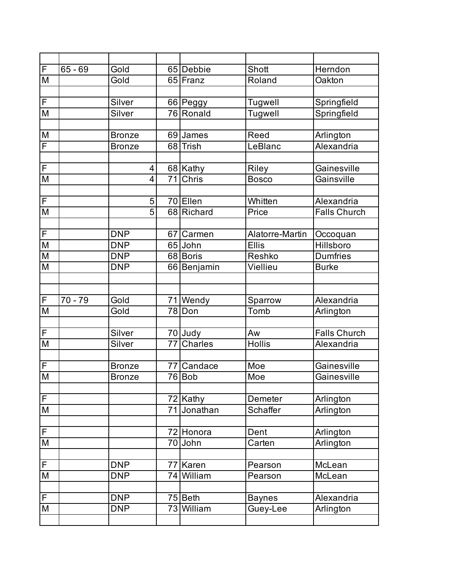| F | $65 - 69$ | Gold           |                 | 65 Debbie                 | Shott           | Herndon             |
|---|-----------|----------------|-----------------|---------------------------|-----------------|---------------------|
| M |           | Gold           |                 | 65 Franz                  | Roland          | Oakton              |
|   |           |                |                 |                           |                 |                     |
| F |           | Silver         |                 | 66 Peggy                  | <b>Tugwell</b>  | Springfield         |
| M |           | Silver         |                 | 76 Ronald                 | Tugwell         | Springfield         |
|   |           |                |                 |                           |                 |                     |
| M |           | <b>Bronze</b>  |                 | 69 James                  | Reed            | Arlington           |
| F |           | <b>Bronze</b>  |                 | 68 Trish                  | LeBlanc         | Alexandria          |
|   |           |                |                 |                           |                 |                     |
| F |           | 4              |                 | 68 Kathy                  | Riley           | Gainesville         |
| M |           | $\overline{4}$ | $\overline{71}$ | Chris                     | <b>Bosco</b>    | Gainsville          |
|   |           |                |                 |                           |                 |                     |
| F |           | 5              |                 | 70 Ellen                  | Whitten         | Alexandria          |
| M |           | $\overline{5}$ |                 | 68 Richard                | Price           | <b>Falls Church</b> |
|   |           |                |                 |                           |                 |                     |
| F |           | <b>DNP</b>     | 67              | Carmen                    | Alatorre-Martin | Occoquan            |
| M |           | <b>DNP</b>     |                 | 65 John                   | <b>Ellis</b>    | Hillsboro           |
| M |           | <b>DNP</b>     |                 | 68 Boris                  | Reshko          | <b>Dumfries</b>     |
| M |           | <b>DNP</b>     |                 | 66 Benjamin               | Viellieu        | <b>Burke</b>        |
|   |           |                |                 |                           |                 |                     |
|   |           |                |                 |                           |                 |                     |
| F | $70 - 79$ | Gold           |                 | 71 Wendy                  | Sparrow         | Alexandria          |
| M |           | Gold           |                 | 78 Don                    | Tomb            | Arlington           |
| F |           | Silver         |                 |                           | Aw              | <b>Falls Church</b> |
| M |           | Silver         | 77              | 70 Judy<br><b>Charles</b> | <b>Hollis</b>   | Alexandria          |
|   |           |                |                 |                           |                 |                     |
| F |           | <b>Bronze</b>  | 77              | Candace                   | Moe             | Gainesville         |
| M |           | <b>Bronze</b>  |                 | 76 Bob                    | Moe             | Gainesville         |
|   |           |                |                 |                           |                 |                     |
| F |           |                |                 | 72 Kathy                  | Demeter         | Arlington           |
| M |           |                | 71              | Jonathan                  | <b>Schaffer</b> | Arlington           |
|   |           |                |                 |                           |                 |                     |
| F |           |                |                 | 72 Honora                 | Dent            | Arlington           |
| M |           |                |                 | 70 John                   | Carten          | Arlington           |
|   |           |                |                 |                           |                 |                     |
| F |           | <b>DNP</b>     | 77              | <b>Karen</b>              | Pearson         | McLean              |
| M |           | <b>DNP</b>     |                 | 74 William                | Pearson         | McLean              |
|   |           |                |                 |                           |                 |                     |
| F |           | <b>DNP</b>     |                 | 75 Beth                   | <b>Baynes</b>   | Alexandria          |
| M |           | <b>DNP</b>     |                 | 73 William                | Guey-Lee        | Arlington           |
|   |           |                |                 |                           |                 |                     |